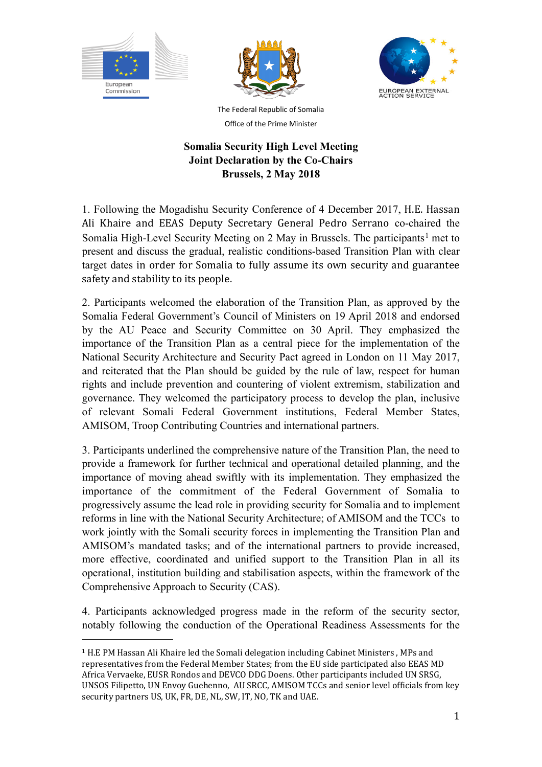





The Federal Republic of Somalia Office of the Prime Minister

## **Somalia Security High Level Meeting Joint Declaration by the Co-Chairs Brussels, 2 May 2018**

1. Following the Mogadishu Security Conference of 4 December 2017, H.E. Hassan Ali Khaire and EEAS Deputy Secretary General Pedro Serrano co-chaired the Somalia High-Level Security Meeting on 2 May in Brussels. The participants<sup>[1](#page-0-0)</sup> met to present and discuss the gradual, realistic conditions-based Transition Plan with clear target dates in order for Somalia to fully assume its own security and guarantee safety and stability to its people.

2. Participants welcomed the elaboration of the Transition Plan, as approved by the Somalia Federal Government's Council of Ministers on 19 April 2018 and endorsed by the AU Peace and Security Committee on 30 April. They emphasized the importance of the Transition Plan as a central piece for the implementation of the National Security Architecture and Security Pact agreed in London on 11 May 2017, and reiterated that the Plan should be guided by the rule of law, respect for human rights and include prevention and countering of violent extremism, stabilization and governance. They welcomed the participatory process to develop the plan, inclusive of relevant Somali Federal Government institutions, Federal Member States, AMISOM, Troop Contributing Countries and international partners.

3. Participants underlined the comprehensive nature of the Transition Plan, the need to provide a framework for further technical and operational detailed planning, and the importance of moving ahead swiftly with its implementation. They emphasized the importance of the commitment of the Federal Government of Somalia to progressively assume the lead role in providing security for Somalia and to implement reforms in line with the National Security Architecture; of AMISOM and the TCCs to work jointly with the Somali security forces in implementing the Transition Plan and AMISOM's mandated tasks; and of the international partners to provide increased, more effective, coordinated and unified support to the Transition Plan in all its operational, institution building and stabilisation aspects, within the framework of the Comprehensive Approach to Security (CAS).

4. Participants acknowledged progress made in the reform of the security sector, notably following the conduction of the Operational Readiness Assessments for the

<span id="page-0-0"></span> $1$  H.E PM Hassan Ali Khaire led the Somali delegation including Cabinet Ministers, MPs and representatives from the Federal Member States; from the EU side participated also EEAS MD Africa Vervaeke, EUSR Rondos and DEVCO DDG Doens. Other participants included UN SRSG. UNSOS Filipetto, UN Envoy Guehenno, AU SRCC, AMISOM TCCs and senior level officials from key security partners US, UK, FR, DE, NL, SW, IT, NO, TK and UAE.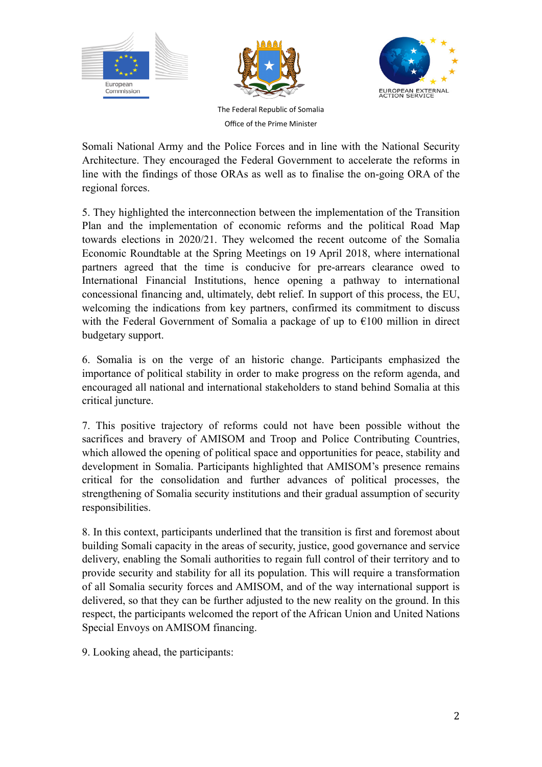





The Federal Republic of Somalia Office of the Prime Minister

Somali National Army and the Police Forces and in line with the National Security Architecture. They encouraged the Federal Government to accelerate the reforms in line with the findings of those ORAs as well as to finalise the on-going ORA of the regional forces.

5. They highlighted the interconnection between the implementation of the Transition Plan and the implementation of economic reforms and the political Road Map towards elections in 2020/21. They welcomed the recent outcome of the Somalia Economic Roundtable at the Spring Meetings on 19 April 2018, where international partners agreed that the time is conducive for pre-arrears clearance owed to International Financial Institutions, hence opening a pathway to international concessional financing and, ultimately, debt relief. In support of this process, the EU, welcoming the indications from key partners, confirmed its commitment to discuss with the Federal Government of Somalia a package of up to  $\epsilon$ 100 million in direct budgetary support.

6. Somalia is on the verge of an historic change. Participants emphasized the importance of political stability in order to make progress on the reform agenda, and encouraged all national and international stakeholders to stand behind Somalia at this critical juncture.

7. This positive trajectory of reforms could not have been possible without the sacrifices and bravery of AMISOM and Troop and Police Contributing Countries, which allowed the opening of political space and opportunities for peace, stability and development in Somalia. Participants highlighted that AMISOM's presence remains critical for the consolidation and further advances of political processes, the strengthening of Somalia security institutions and their gradual assumption of security responsibilities.

8. In this context, participants underlined that the transition is first and foremost about building Somali capacity in the areas of security, justice, good governance and service delivery, enabling the Somali authorities to regain full control of their territory and to provide security and stability for all its population. This will require a transformation of all Somalia security forces and AMISOM, and of the way international support is delivered, so that they can be further adjusted to the new reality on the ground. In this respect, the participants welcomed the report of the African Union and United Nations Special Envoys on AMISOM financing.

9. Looking ahead, the participants: